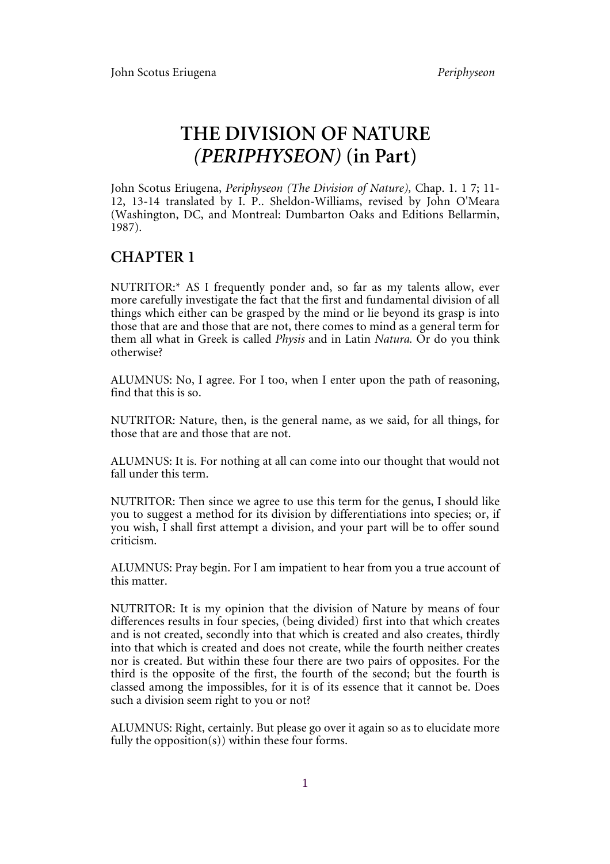## **THE DIVISION OF NATURE**  *(PERIPHYSEON)* **(in Part)**

John Scotus Eriugena, *Periphyseon (The Division of Nature),* Chap. 1. 1 7; 11- 12, 13-14 translated by I. P.. Sheldon-Williams, revised by John O'Meara (Washington, DC, and Montreal: Dumbarton Oaks and Editions Bellarmin, 1987).

## **CHAPTER 1**

NUTRITOR:\* AS I frequently ponder and, so far as my talents allow, ever more carefully investigate the fact that the first and fundamental division of all things which either can be grasped by the mind or lie beyond its grasp is into those that are and those that are not, there comes to mind as a general term for them all what in Greek is called *Physis* and in Latin *Natura.* Or do you think otherwise?

ALUMNUS: No, I agree. For I too, when I enter upon the path of reasoning, find that this is so.

NUTRITOR: Nature, then, is the general name, as we said, for all things, for those that are and those that are not.

ALUMNUS: It is. For nothing at all can come into our thought that would not fall under this term.

NUTRITOR: Then since we agree to use this term for the genus, I should like you to suggest a method for its division by differentiations into species; or, if you wish, I shall first attempt a division, and your part will be to offer sound criticism.

ALUMNUS: Pray begin. For I am impatient to hear from you a true account of this matter.

NUTRITOR: It is my opinion that the division of Nature by means of four differences results in four species, (being divided) first into that which creates and is not created, secondly into that which is created and also creates, thirdly into that which is created and does not create, while the fourth neither creates nor is created. But within these four there are two pairs of opposites. For the third is the opposite of the first, the fourth of the second; but the fourth is classed among the impossibles, for it is of its essence that it cannot be. Does such a division seem right to you or not?

ALUMNUS: Right, certainly. But please go over it again so as to elucidate more fully the opposition $(s)$ ) within these four forms.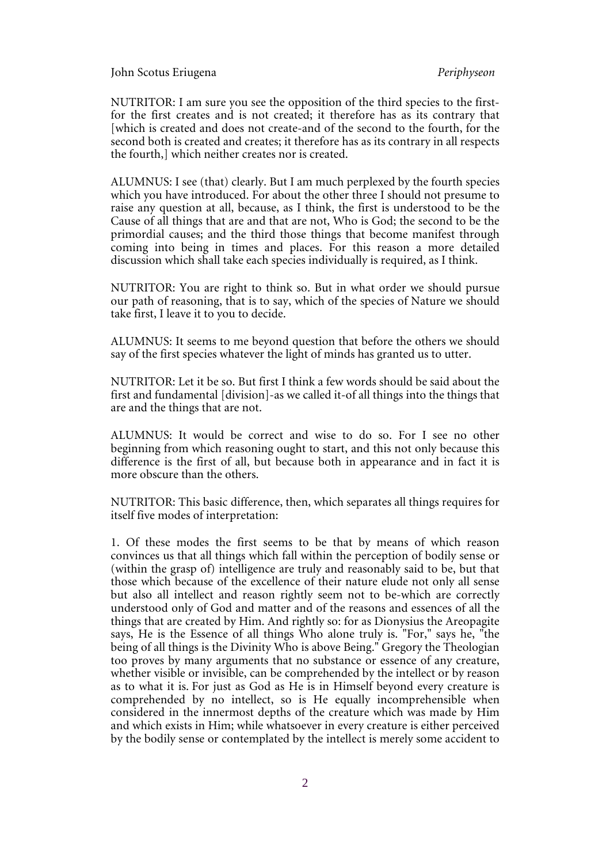NUTRITOR: I am sure you see the opposition of the third species to the firstfor the first creates and is not created; it therefore has as its contrary that [which is created and does not create-and of the second to the fourth, for the second both is created and creates; it therefore has as its contrary in all respects the fourth,] which neither creates nor is created.

ALUMNUS: I see (that) clearly. But I am much perplexed by the fourth species which you have introduced. For about the other three I should not presume to raise any question at all, because, as I think, the first is understood to be the Cause of all things that are and that are not, Who is God; the second to be the primordial causes; and the third those things that become manifest through coming into being in times and places. For this reason a more detailed discussion which shall take each species individually is required, as I think.

NUTRITOR: You are right to think so. But in what order we should pursue our path of reasoning, that is to say, which of the species of Nature we should take first, I leave it to you to decide.

ALUMNUS: It seems to me beyond question that before the others we should say of the first species whatever the light of minds has granted us to utter.

NUTRITOR: Let it be so. But first I think a few words should be said about the first and fundamental [division]-as we called it-of all things into the things that are and the things that are not.

ALUMNUS: It would be correct and wise to do so. For I see no other beginning from which reasoning ought to start, and this not only because this difference is the first of all, but because both in appearance and in fact it is more obscure than the others.

NUTRITOR: This basic difference, then, which separates all things requires for itself five modes of interpretation:

1. Of these modes the first seems to be that by means of which reason convinces us that all things which fall within the perception of bodily sense or (within the grasp of) intelligence are truly and reasonably said to be, but that those which because of the excellence of their nature elude not only all sense but also all intellect and reason rightly seem not to be-which are correctly understood only of God and matter and of the reasons and essences of all the things that are created by Him. And rightly so: for as Dionysius the Areopagite says, He is the Essence of all things Who alone truly is. "For," says he, "the being of all things is the Divinity Who is above Being." Gregory the Theologian too proves by many arguments that no substance or essence of any creature, whether visible or invisible, can be comprehended by the intellect or by reason as to what it is. For just as God as He is in Himself beyond every creature is comprehended by no intellect, so is He equally incomprehensible when considered in the innermost depths of the creature which was made by Him and which exists in Him; while whatsoever in every creature is either perceived by the bodily sense or contemplated by the intellect is merely some accident to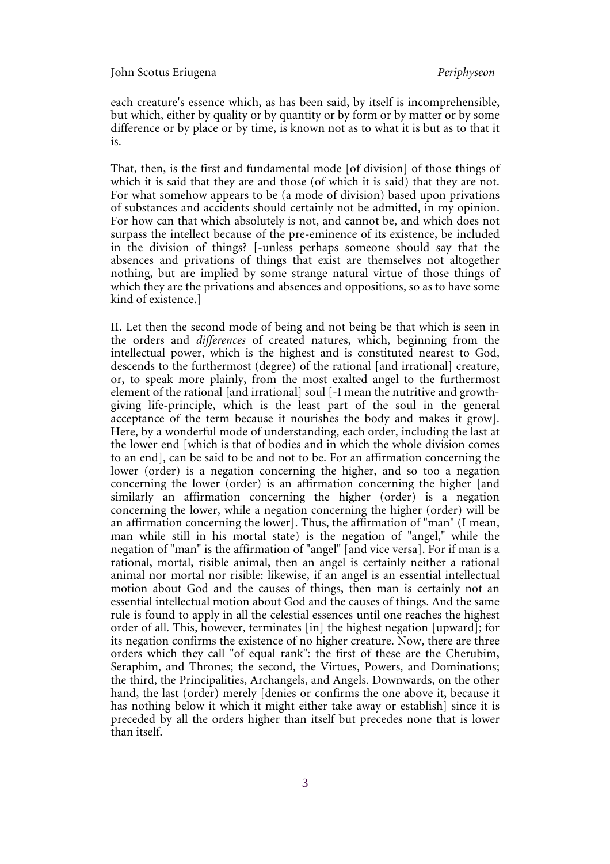each creature's essence which, as has been said, by itself is incomprehensible, but which, either by quality or by quantity or by form or by matter or by some difference or by place or by time, is known not as to what it is but as to that it is.

That, then, is the first and fundamental mode [of division] of those things of which it is said that they are and those (of which it is said) that they are not. For what somehow appears to be (a mode of division) based upon privations of substances and accidents should certainly not be admitted, in my opinion. For how can that which absolutely is not, and cannot be, and which does not surpass the intellect because of the pre-eminence of its existence, be included in the division of things? [-unless perhaps someone should say that the absences and privations of things that exist are themselves not altogether nothing, but are implied by some strange natural virtue of those things of which they are the privations and absences and oppositions, so as to have some kind of existence.]

II. Let then the second mode of being and not being be that which is seen in the orders and *differences* of created natures, which, beginning from the intellectual power, which is the highest and is constituted nearest to God, descends to the furthermost (degree) of the rational [and irrational] creature, or, to speak more plainly, from the most exalted angel to the furthermost element of the rational [and irrational] soul [-I mean the nutritive and growthgiving life-principle, which is the least part of the soul in the general acceptance of the term because it nourishes the body and makes it grow]. Here, by a wonderful mode of understanding, each order, including the last at the lower end [which is that of bodies and in which the whole division comes to an end], can be said to be and not to be. For an affirmation concerning the lower (order) is a negation concerning the higher, and so too a negation concerning the lower (order) is an affirmation concerning the higher [and similarly an affirmation concerning the higher (order) is a negation concerning the lower, while a negation concerning the higher (order) will be an affirmation concerning the lower]. Thus, the affirmation of "man" (I mean, man while still in his mortal state) is the negation of "angel," while the negation of "man" is the affirmation of "angel" [and vice versa]. For if man is a rational, mortal, risible animal, then an angel is certainly neither a rational animal nor mortal nor risible: likewise, if an angel is an essential intellectual motion about God and the causes of things, then man is certainly not an essential intellectual motion about God and the causes of things. And the same rule is found to apply in all the celestial essences until one reaches the highest order of all. This, however, terminates [in] the highest negation [upward]; for its negation confirms the existence of no higher creature. Now, there are three orders which they call "of equal rank": the first of these are the Cherubim, Seraphim, and Thrones; the second, the Virtues, Powers, and Dominations; the third, the Principalities, Archangels, and Angels. Downwards, on the other hand, the last (order) merely [denies or confirms the one above it, because it has nothing below it which it might either take away or establish] since it is preceded by all the orders higher than itself but precedes none that is lower than itself.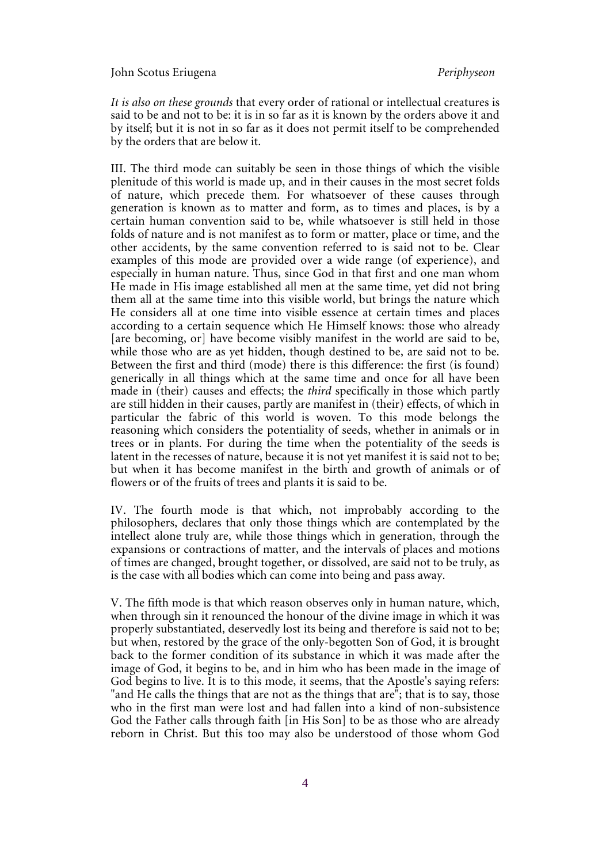*It is also on these grounds* that every order of rational or intellectual creatures is said to be and not to be: it is in so far as it is known by the orders above it and by itself; but it is not in so far as it does not permit itself to be comprehended by the orders that are below it.

III. The third mode can suitably be seen in those things of which the visible plenitude of this world is made up, and in their causes in the most secret folds of nature, which precede them. For whatsoever of these causes through generation is known as to matter and form, as to times and places, is by a certain human convention said to be, while whatsoever is still held in those folds of nature and is not manifest as to form or matter, place or time, and the other accidents, by the same convention referred to is said not to be. Clear examples of this mode are provided over a wide range (of experience), and especially in human nature. Thus, since God in that first and one man whom He made in His image established all men at the same time, yet did not bring them all at the same time into this visible world, but brings the nature which He considers all at one time into visible essence at certain times and places according to a certain sequence which He Himself knows: those who already [are becoming, or] have become visibly manifest in the world are said to be, while those who are as yet hidden, though destined to be, are said not to be. Between the first and third (mode) there is this difference: the first (is found) generically in all things which at the same time and once for all have been made in (their) causes and effects; the *third* specifically in those which partly are still hidden in their causes, partly are manifest in (their) effects, of which in particular the fabric of this world is woven. To this mode belongs the reasoning which considers the potentiality of seeds, whether in animals or in trees or in plants. For during the time when the potentiality of the seeds is latent in the recesses of nature, because it is not yet manifest it is said not to be; but when it has become manifest in the birth and growth of animals or of flowers or of the fruits of trees and plants it is said to be.

IV. The fourth mode is that which, not improbably according to the philosophers, declares that only those things which are contemplated by the intellect alone truly are, while those things which in generation, through the expansions or contractions of matter, and the intervals of places and motions of times are changed, brought together, or dissolved, are said not to be truly, as is the case with all bodies which can come into being and pass away.

V. The fifth mode is that which reason observes only in human nature, which, when through sin it renounced the honour of the divine image in which it was properly substantiated, deservedly lost its being and therefore is said not to be; but when, restored by the grace of the only-begotten Son of God, it is brought back to the former condition of its substance in which it was made after the image of God, it begins to be, and in him who has been made in the image of God begins to live. It is to this mode, it seems, that the Apostle's saying refers: "and He calls the things that are not as the things that are"; that is to say, those who in the first man were lost and had fallen into a kind of non-subsistence God the Father calls through faith [in His Son] to be as those who are already reborn in Christ. But this too may also be understood of those whom God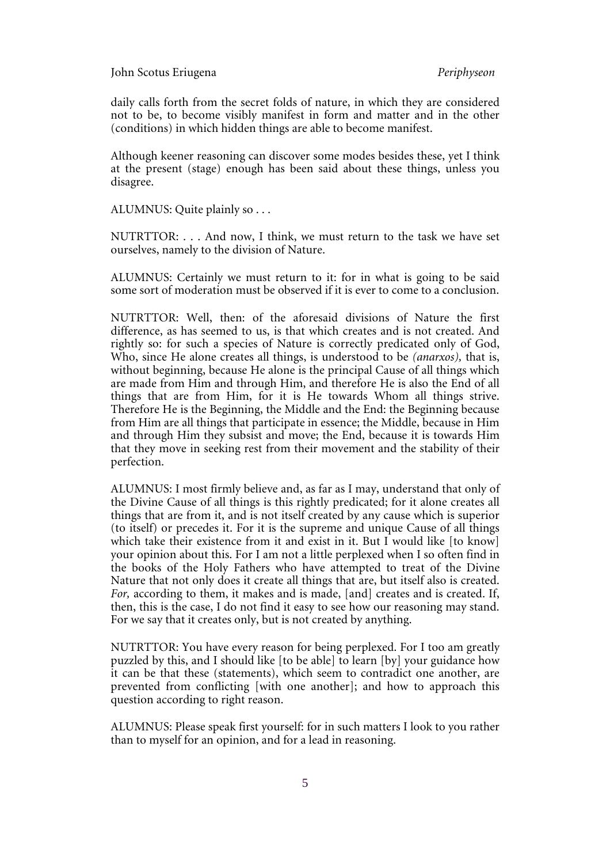daily calls forth from the secret folds of nature, in which they are considered not to be, to become visibly manifest in form and matter and in the other (conditions) in which hidden things are able to become manifest.

Although keener reasoning can discover some modes besides these, yet I think at the present (stage) enough has been said about these things, unless you disagree.

ALUMNUS: Quite plainly so . . .

NUTRTTOR: . . . And now, I think, we must return to the task we have set ourselves, namely to the division of Nature.

ALUMNUS: Certainly we must return to it: for in what is going to be said some sort of moderation must be observed if it is ever to come to a conclusion.

NUTRTTOR: Well, then: of the aforesaid divisions of Nature the first difference, as has seemed to us, is that which creates and is not created. And rightly so: for such a species of Nature is correctly predicated only of God, Who, since He alone creates all things, is understood to be *(anarxos),* that is, without beginning, because He alone is the principal Cause of all things which are made from Him and through Him, and therefore He is also the End of all things that are from Him, for it is He towards Whom all things strive. Therefore He is the Beginning, the Middle and the End: the Beginning because from Him are all things that participate in essence; the Middle, because in Him and through Him they subsist and move; the End, because it is towards Him that they move in seeking rest from their movement and the stability of their perfection.

ALUMNUS: I most firmly believe and, as far as I may, understand that only of the Divine Cause of all things is this rightly predicated; for it alone creates all things that are from it, and is not itself created by any cause which is superior (to itself) or precedes it. For it is the supreme and unique Cause of all things which take their existence from it and exist in it. But I would like [to know] your opinion about this. For I am not a little perplexed when I so often find in the books of the Holy Fathers who have attempted to treat of the Divine Nature that not only does it create all things that are, but itself also is created. *For, according to them, it makes and is made, [and] creates and is created. If,* then, this is the case, I do not find it easy to see how our reasoning may stand. For we say that it creates only, but is not created by anything.

NUTRTTOR: You have every reason for being perplexed. For I too am greatly puzzled by this, and I should like [to be able] to learn [by] your guidance how it can be that these (statements), which seem to contradict one another, are prevented from conflicting [with one another]; and how to approach this question according to right reason.

ALUMNUS: Please speak first yourself: for in such matters I look to you rather than to myself for an opinion, and for a lead in reasoning.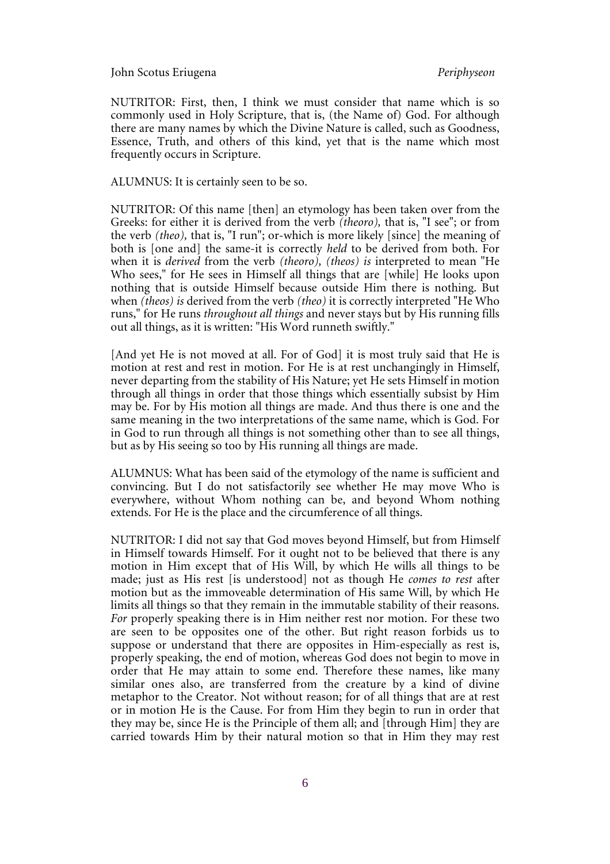NUTRITOR: First, then, I think we must consider that name which is so commonly used in Holy Scripture, that is, (the Name of) God. For although there are many names by which the Divine Nature is called, such as Goodness, Essence, Truth, and others of this kind, yet that is the name which most frequently occurs in Scripture.

ALUMNUS: It is certainly seen to be so.

NUTRITOR: Of this name [then] an etymology has been taken over from the Greeks: for either it is derived from the verb *(theoro),* that is, "I see"; or from the verb *(theo),* that is, "I run"; or-which is more likely [since] the meaning of both is [one and] the same-it is correctly *held* to be derived from both. For when it is *derived* from the verb *(theoro), (theos) is* interpreted to mean "He Who sees," for He sees in Himself all things that are [while] He looks upon nothing that is outside Himself because outside Him there is nothing. But when *(theos) is* derived from the verb *(theo)* it is correctly interpreted "He Who runs," for He runs *throughout all things* and never stays but by His running fills out all things, as it is written: "His Word runneth swiftly."

[And yet He is not moved at all. For of God] it is most truly said that He is motion at rest and rest in motion. For He is at rest unchangingly in Himself, never departing from the stability of His Nature; yet He sets Himself in motion through all things in order that those things which essentially subsist by Him may be. For by His motion all things are made. And thus there is one and the same meaning in the two interpretations of the same name, which is God. For in God to run through all things is not something other than to see all things, but as by His seeing so too by His running all things are made.

ALUMNUS: What has been said of the etymology of the name is sufficient and convincing. But I do not satisfactorily see whether He may move Who is everywhere, without Whom nothing can be, and beyond Whom nothing extends. For He is the place and the circumference of all things.

NUTRITOR: I did not say that God moves beyond Himself, but from Himself in Himself towards Himself. For it ought not to be believed that there is any motion in Him except that of His Will, by which He wills all things to be made; just as His rest [is understood] not as though He *comes to rest* after motion but as the immoveable determination of His same Will, by which He limits all things so that they remain in the immutable stability of their reasons. *For properly speaking there is in Him neither rest nor motion. For these two* are seen to be opposites one of the other. But right reason forbids us to suppose or understand that there are opposites in Him-especially as rest is, properly speaking, the end of motion, whereas God does not begin to move in order that He may attain to some end. Therefore these names, like many similar ones also, are transferred from the creature by a kind of divine metaphor to the Creator. Not without reason; for of all things that are at rest or in motion He is the Cause. For from Him they begin to run in order that they may be, since He is the Principle of them all; and [through Him] they are carried towards Him by their natural motion so that in Him they may rest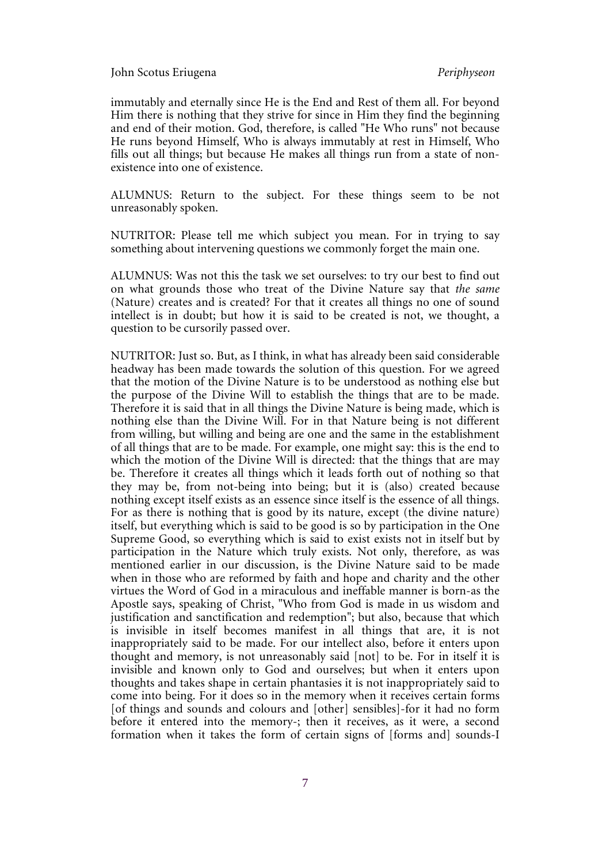immutably and eternally since He is the End and Rest of them all. For beyond Him there is nothing that they strive for since in Him they find the beginning and end of their motion. God, therefore, is called "He Who runs" not because He runs beyond Himself, Who is always immutably at rest in Himself, Who fills out all things; but because He makes all things run from a state of nonexistence into one of existence.

ALUMNUS: Return to the subject. For these things seem to be not unreasonably spoken.

NUTRITOR: Please tell me which subject you mean. For in trying to say something about intervening questions we commonly forget the main one.

ALUMNUS: Was not this the task we set ourselves: to try our best to find out on what grounds those who treat of the Divine Nature say that *the same*  (Nature) creates and is created? For that it creates all things no one of sound intellect is in doubt; but how it is said to be created is not, we thought, a question to be cursorily passed over.

NUTRITOR: Just so. But, as I think, in what has already been said considerable headway has been made towards the solution of this question. For we agreed that the motion of the Divine Nature is to be understood as nothing else but the purpose of the Divine Will to establish the things that are to be made. Therefore it is said that in all things the Divine Nature is being made, which is nothing else than the Divine Will. For in that Nature being is not different from willing, but willing and being are one and the same in the establishment of all things that are to be made. For example, one might say: this is the end to which the motion of the Divine Will is directed: that the things that are may be. Therefore it creates all things which it leads forth out of nothing so that they may be, from not-being into being; but it is (also) created because nothing except itself exists as an essence since itself is the essence of all things. For as there is nothing that is good by its nature, except (the divine nature) itself, but everything which is said to be good is so by participation in the One Supreme Good, so everything which is said to exist exists not in itself but by participation in the Nature which truly exists. Not only, therefore, as was mentioned earlier in our discussion, is the Divine Nature said to be made when in those who are reformed by faith and hope and charity and the other virtues the Word of God in a miraculous and ineffable manner is born-as the Apostle says, speaking of Christ, "Who from God is made in us wisdom and justification and sanctification and redemption"; but also, because that which is invisible in itself becomes manifest in all things that are, it is not inappropriately said to be made. For our intellect also, before it enters upon thought and memory, is not unreasonably said [not] to be. For in itself it is invisible and known only to God and ourselves; but when it enters upon thoughts and takes shape in certain phantasies it is not inappropriately said to come into being. For it does so in the memory when it receives certain forms [of things and sounds and colours and [other] sensibles]-for it had no form before it entered into the memory-; then it receives, as it were, a second formation when it takes the form of certain signs of [forms and] sounds-I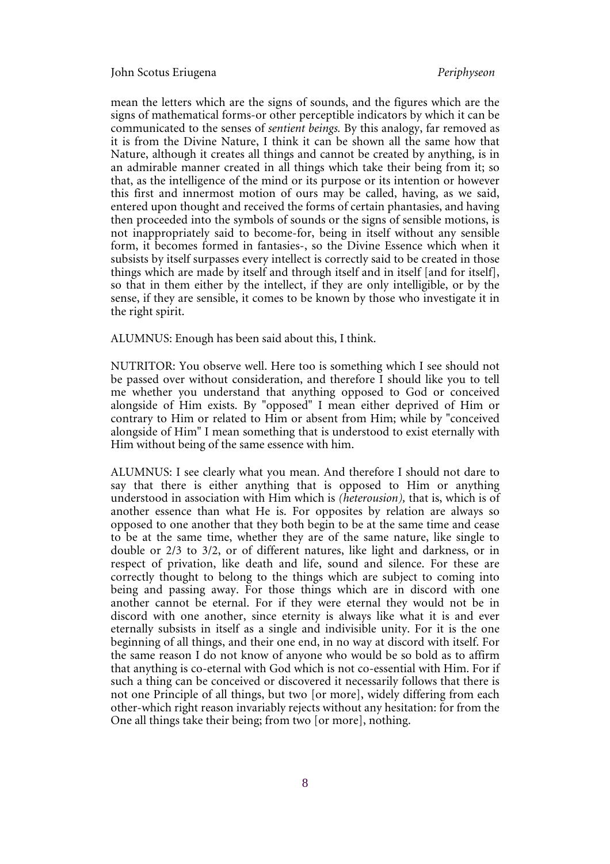mean the letters which are the signs of sounds, and the figures which are the signs of mathematical forms-or other perceptible indicators by which it can be communicated to the senses of *sentient beings.* By this analogy, far removed as it is from the Divine Nature, I think it can be shown all the same how that Nature, although it creates all things and cannot be created by anything, is in an admirable manner created in all things which take their being from it; so that, as the intelligence of the mind or its purpose or its intention or however this first and innermost motion of ours may be called, having, as we said, entered upon thought and received the forms of certain phantasies, and having then proceeded into the symbols of sounds or the signs of sensible motions, is not inappropriately said to become-for, being in itself without any sensible form, it becomes formed in fantasies-, so the Divine Essence which when it subsists by itself surpasses every intellect is correctly said to be created in those things which are made by itself and through itself and in itself [and for itself], so that in them either by the intellect, if they are only intelligible, or by the sense, if they are sensible, it comes to be known by those who investigate it in the right spirit.

ALUMNUS: Enough has been said about this, I think.

NUTRITOR: You observe well. Here too is something which I see should not be passed over without consideration, and therefore I should like you to tell me whether you understand that anything opposed to God or conceived alongside of Him exists. By "opposed" I mean either deprived of Him or contrary to Him or related to Him or absent from Him; while by "conceived alongside of Him" I mean something that is understood to exist eternally with Him without being of the same essence with him.

ALUMNUS: I see clearly what you mean. And therefore I should not dare to say that there is either anything that is opposed to Him or anything understood in association with Him which is *(heterousion),* that is, which is of another essence than what He is. For opposites by relation are always so opposed to one another that they both begin to be at the same time and cease to be at the same time, whether they are of the same nature, like single to double or 2/3 to 3/2, or of different natures, like light and darkness, or in respect of privation, like death and life, sound and silence. For these are correctly thought to belong to the things which are subject to coming into being and passing away. For those things which are in discord with one another cannot be eternal. For if they were eternal they would not be in discord with one another, since eternity is always like what it is and ever eternally subsists in itself as a single and indivisible unity. For it is the one beginning of all things, and their one end, in no way at discord with itself. For the same reason I do not know of anyone who would be so bold as to affirm that anything is co-eternal with God which is not co-essential with Him. For if such a thing can be conceived or discovered it necessarily follows that there is not one Principle of all things, but two [or more], widely differing from each other-which right reason invariably rejects without any hesitation: for from the One all things take their being; from two [or more], nothing.